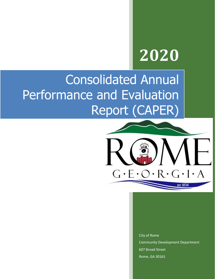# **2020**

# Consolidated Annual Performance and Evaluation Report (CAPER)



City of Rome Community Development Department 607 Broad Street Rome, GA 30161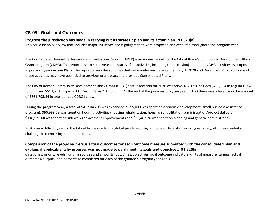# **CR-05 - Goals and Outcomes**

#### **Progress the jurisdiction has made in carrying out its strategic plan and its action plan. 91.520(a)**

This could be an overview that includes major initiatives and highlights that were proposed and executed throughout the program year.

The Consolidated Annual Perfomance and Evaluation Report (CAPER) is an annual report for the City of Rome's Community Development Block Grant Program (CDBG). The report describes the year-end status of all activities, including (on occaision) some non-CDBG activities as proposed in previous years Action Plans. The report covers the activities that were underway between January 1, 2020 and December 31, 2020. Some of these activities may have been tied to previous grant years and previous Consolidated Plans.

The City of Rome's Community Development Block Grant (CDBG) total allocation for 2020 was \$952,076. This includes \$438,554 in regular CDBG funding and \$513,523 in special CDBG-CV (Cares Act) funding. At the end of the previous program year (2019) there was a balance in the amount of \$661,793.44 in unexpended CDBG funds.

During the program year, a total of \$417,046.95 was expended: \$155,000 was spent on economic development (small business assistance program), \$60,993.09 was spent on housing activities (housing rehabilitation, housing rehabilitation administration/project delivery); \$118,571.60 was spent on sidewalk replacement improvements and \$82,482.26 was spent on planning and general administration.

2020 was a difficult year for the City of Rome due to the global pandemic, stay at home orders, staff working remotely, etc. This created a challenge in completing planned projects.

**Comparison of the proposed versus actual outcomes for each outcome measure submitted with the consolidated plan and explain, if applicable, why progress was not made toward meeting goals and objectives. 91.520(g)** Categories, priority levels, funding sources and amounts, outcomes/objectives, goal outcome indicators, units of measure, targets, actual outcomes/outputs, and percentage completed for each of the grantee's program year goals.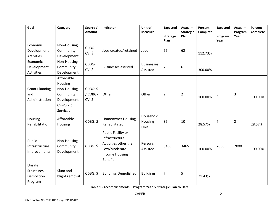| Goal                                           | Category                                                                                  | Source /<br>Amount            | Indicator                                                                                                         | Unit of<br><b>Measure</b>     | <b>Expected</b><br>$\overline{\phantom{0}}$<br><b>Strategic</b><br>Plan | Actual-<br><b>Strategic</b><br>Plan | Percent<br>Complete | <b>Expected</b><br>Program<br>Year | Actual-<br>Program<br>Year | Percent<br>Complete |
|------------------------------------------------|-------------------------------------------------------------------------------------------|-------------------------------|-------------------------------------------------------------------------------------------------------------------|-------------------------------|-------------------------------------------------------------------------|-------------------------------------|---------------------|------------------------------------|----------------------------|---------------------|
| Economic<br>Development<br><b>Activities</b>   | Non-Housing<br>Community<br>Development                                                   | CDBG-<br>CV: \$               | Jobs created/retained                                                                                             | Jobs                          | 55                                                                      | 62                                  | 112.73%             |                                    |                            |                     |
| Economic<br>Development<br>Activities          | Non-Housing<br>Community<br>Development                                                   | CDBG-<br>CV: \$               | <b>Businesses assisted</b>                                                                                        | <b>Businesses</b><br>Assisted | $\overline{2}$                                                          | 6                                   | 300.00%             |                                    |                            |                     |
| <b>Grant Planning</b><br>and<br>Administration | Affordable<br>Housing<br>Non-Housing<br>Community<br>Development<br>CV-Public<br>Services | CDBG: \$<br>/ CDBG-<br>CV: \$ | Other                                                                                                             | Other                         | $\overline{2}$                                                          | $\overline{2}$                      | 100.00%             | 3                                  | 3                          | 100.00%             |
| Housing<br>Rehabilitation                      | Affordable<br>Housing                                                                     | CDBG: \$                      | <b>Homeowner Housing</b><br>Rehabilitated                                                                         | Household<br>Housing<br>Unit  | 35                                                                      | 10                                  | 28.57%              | $\overline{7}$                     | $\overline{2}$             | 28.57%              |
| Public<br>Infrastructure<br>Improvements       | Non-Housing<br>Community<br>Development                                                   | CDBG: \$                      | Public Facility or<br>Infrastructure<br>Activities other than<br>Low/Moderate<br><b>Income Housing</b><br>Benefit | Persons<br>Assisted           | 3465                                                                    | 3465                                | 100.00%             | 2000                               | 2000                       | 100.00%             |
| Unsafe<br>Structures<br>Demolition<br>Program  | Slum and<br>blight removal                                                                | CDBG: \$                      | <b>Buildings Demolished</b>                                                                                       | <b>Buildings</b>              | 7                                                                       | 5                                   | 71.43%              |                                    |                            |                     |

**Table 1 - Accomplishments – Program Year & Strategic Plan to Date**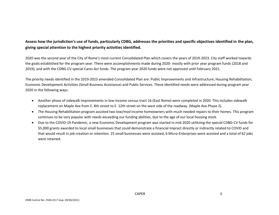# **Assess how the jurisdiction's use of funds, particularly CDBG, addresses the priorities and specific objectives identified in the plan, giving special attention to the highest priority activities identified.**

2020 was the second year of the City of Rome's most current Consolidated Plan which covers the years of 2019-2023. City staff worked towards the goals established for the program year. There were accomplishments made during 2020- mostly with prior year program funds (2018 and 2019), and with the CDBG-CV special Cares Act funds. The program year 2020 funds were not approved until February 2021.

The priority needs identified in the 2019-2023 amended Consolidated Plan are: Public Improvements and Infrastructure; Housing Rehabilitation; Economic Development Activities (Small Business Assistance) and Public Services. These identified needs were addressed during program year 2020 in the following ways:

- Another phase of sidewalk improvements in low-income census tract 16 (East Rome) were completed in 2020. This includes sidewalk replacement on Maple Ave from E. 8th street to E. 12th street on the west side of the roadway. (Maple Ave Phase 2).
- The Housing Rehabilitation program assisted two low/mod income homeowners with much needed repairs to their homes. This program continues to be very popular with needs exceeding our funding abilities, due to the age of our local housing stock.
- Due to the COVID-19 Pandemic, a new Economic Development program was started in mid-2020 utilitzing the special CDBG-CV funds for \$5,000 grants awarded to local small businesses that could demonstrate a financial impract directly or indirectly related to COVID and that would result in job creation or retention. 25 small businesses were assisted, 6 Micro-Enterprises were assisted and a total of 62 jobs were retained.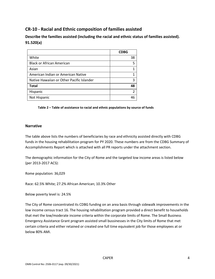# **CR-10 - Racial and Ethnic composition of families assisted**

**Describe the families assisted (including the racial and ethnic status of families assisted). 91.520(a)** 

|                                           | <b>CDBG</b>    |
|-------------------------------------------|----------------|
| White                                     | 38             |
| <b>Black or African American</b>          | 5              |
| Asian                                     |                |
| American Indian or American Native        |                |
| Native Hawaiian or Other Pacific Islander | 3              |
| <b>Total</b>                              | 48             |
| Hispanic                                  | $\mathfrak{p}$ |
| Not Hispanic                              | 46             |

**Table 2 – Table of assistance to racial and ethnic populations by source of funds**

#### **Narrative**

The table above lists the numbers of beneficiaries by race and ethnicity assisted directly with CDBG funds in the housing rehabilitation program for PY 2020. These numbers are from the CDBG Summary of Accomplishments Report which is attached with all PR reports under the attachment section.

The demographic information for the City of Rome and the targeted low income areas is listed below (per 2013-2017 ACS):

Rome population: 36,029

Race: 62.5% White; 27.2% African American; 10.3% Other

Below poverty level is: 24.5%

The City of Rome concentrated its CDBG funding on an area basis through sidewalk improvements in the low income census tract 16. The housing rehabilitation program provided a direct benefit to households that met the low/moderate income criteria within the corporate limits of Rome. The Small Business Emergency Assistance Grant program assisted small bussinesses in the City limits of Rome that met certain criteria and either retained or created one full time equivalent job for those employees at or below 80% AMI.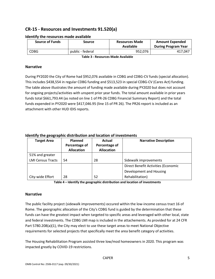# **CR-15 - Resources and Investments 91.520(a)**

| <b>Source of Funds</b> | <b>Source</b>    | <b>Resources Made</b><br>Available | <b>Amount Expended</b><br><b>During Program Year</b> |
|------------------------|------------------|------------------------------------|------------------------------------------------------|
| <b>CDBG</b>            | public - federal | 952,076                            | 417,047                                              |

#### **Identify the resources made available**

**Table 3 - Resources Made Available**

#### **Narrative**

During PY2020 the City of Rome had \$952,076 available in CDBG and CDBG-CV funds (special allocation). This includes \$438,554 in regular CDBG funding and \$513,523 in special CDBG-CV (Cares Act) funding. The table above illustrates the amount of funding made available during PY2020 but does not account for ongoing projects/activities with unspent prior year funds. The total amount available in prior years funds total \$661,793.44 (as noted on line 1 of PR-26 CDBG Financial Summary Report) and the total funds expended in PY2020 were \$417,046.95 (line 15 of PR 26). The PR26 report is included as an attachment with other HUD IDIS reports.

#### **Identify the geographic distribution and location of investments**

| <b>Target Area</b>       | Planned           | Actual            | <b>Narrative Description</b>        |
|--------------------------|-------------------|-------------------|-------------------------------------|
|                          | Percentage of     | Percentage of     |                                     |
|                          | <b>Allocation</b> | <b>Allocation</b> |                                     |
| 51% and greater          |                   |                   |                                     |
| <b>LMI Census Tracts</b> | 54                | 28                | Sidewalk improvements               |
|                          |                   |                   | Direct Benefit Activities (Economic |
|                          |                   |                   | Development and Housing             |
| City-wide Effort         | 28                | 52                | Rehabilitation)                     |

**Table 4 – Identify the geographic distribution and location of investments**

#### **Narrative**

The public facility project (sidewalk improvements) occured within the low-income census tract 16 of Rome. The georgraphic allocation of the City's CDBG fund is guided by the determination that these funds can have the greatest impact when targeted to specific areas and leveraged with other local, state and federal investments. The CDBG LMI map is included in the attachements. As provided for at 24 CFR Part 5780.208(a)(1), the City may elect to use these target areas to meet National Objective requirements for selected projects that specifically meet the area benefit category of activities.

The Housing Rehabilitation Program assisted three low/mod homeowners in 2020. This program was impacted greatly by COVID-19 restrictions.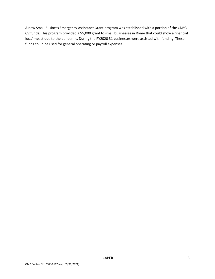A new Small Business Emergency Assistanct Grant program was established with a portion of the CDBG-CV funds. This program provided a \$5,000 grant to small businesses in Rome that could show a financial loss/impact due to the pandemic. During the PY2020 31 businesses were assisted with funding. These funds could be used for general operating or payroll expenses.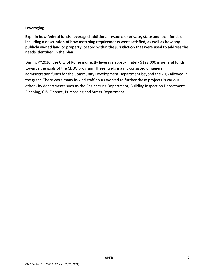#### **Leveraging**

**Explain how federal funds leveraged additional resources (private, state and local funds), including a description of how matching requirements were satisfied, as well as how any publicly owned land or property located within the jurisdiction that were used to address the needs identified in the plan.**

During PY2020, the City of Rome indirectly leverage approximately \$129,000 in general funds towards the goals of the CDBG program. These funds mainly consisted of general administration funds for the Community Development Department beyond the 20% allowed in the grant. There were many in-kind staff hours worked to further these projects in various other City departments such as the Engineering Department, Building Inspection Department, Planning, GIS, Finance, Purchasing and Street Department.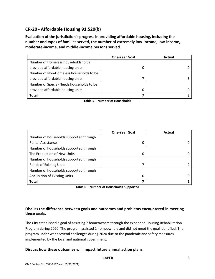# **CR-20 - Affordable Housing 91.520(b)**

**Evaluation of the jurisdiction's progress in providing affordable housing, including the number and types of families served, the number of extremely low-income, low-income, moderate-income, and middle-income persons served.**

|                                          | <b>One-Year Goal</b> | Actual |
|------------------------------------------|----------------------|--------|
| Number of Homeless households to be      |                      |        |
| provided affordable housing units        |                      |        |
| Number of Non-Homeless households to be  |                      |        |
| provided affordable housing units        |                      |        |
| Number of Special-Needs households to be |                      |        |
| provided affordable housing units        |                      |        |
| Total                                    |                      |        |

**Table 5 – Number of Households**

|                                        | <b>One-Year Goal</b> | Actual |
|----------------------------------------|----------------------|--------|
| Number of households supported through |                      |        |
| <b>Rental Assistance</b>               | 0                    |        |
| Number of households supported through |                      |        |
| The Production of New Units            | 0                    |        |
| Number of households supported through |                      |        |
| <b>Rehab of Existing Units</b>         | 7                    |        |
| Number of households supported through |                      |        |
| <b>Acquisition of Existing Units</b>   | 0                    |        |
| <b>Total</b>                           | 7                    |        |

**Table 6 – Number of Households Supported**

#### **Discuss the difference between goals and outcomes and problems encountered in meeting these goals.**

The City established a goal of assisting 7 homeowners through the expanded Housing Rehabilitation Program during 2020. The program assisted 2 homeowners and did not meet the goal identified. The program under went several challenges during 2020 due to the pandemic and safety measures implemented by the local and national government.

#### **Discuss how these outcomes will impact future annual action plans.**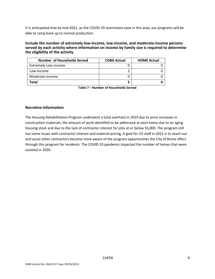It is anticipated that by mid-2021, as the COVID-19 restrictions ease in this area, our programs will be able to ramp back up to normal production.

#### **Include the number of extremely low-income, low-income, and moderate-income persons served by each activity where information on income by family size is required to determine the eligibility of the activity.**

| <b>Number of Households Served</b> | <b>CDBG Actual</b> | <b>HOME Actual</b> |
|------------------------------------|--------------------|--------------------|
| <b>Extremely Low-income</b>        |                    |                    |
| Low-income                         |                    |                    |
| Moderate-income                    |                    |                    |
| Total                              |                    |                    |

**Table 7 – Number of Households Served**

#### **Narrative Information**

The Housing Rehabilitation Program underwent a total overhaul in 2019 due to price increases in construction materials, the amount of work identified to be addressed at each home due to an aging housing stock and due to the lack of contractor interest for jobs at or below \$5,000. The program still has some issues with contractor interest and material pricing. A goal for CD staff in 2021 is to reach out and assist other contractors become more aware of the program opportunities the City of Rome offers through this program for residents. The COVID-19 pandemic impacted the number of homes that were assisted in 2020.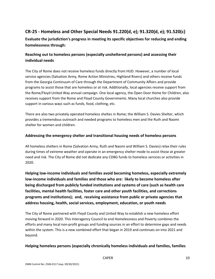# **CR-25 - Homeless and Other Special Needs 91.220(d, e); 91.320(d, e); 91.520(c)**

**Evaluate the jurisdiction's progress in meeting its specific objectives for reducing and ending homelessness through:**

# **Reaching out to homeless persons (especially unsheltered persons) and assessing their individual needs**

The City of Rome does not receive homeless funds directly from HUD. However, a number of local service agencies (Salvation Army, Rome Action Ministries, Highland Rivers) and others receive funds from the Georgia Continuum of Care through the Department of Community Affairs and provide programs to assist those that are homeless or at risk. Additionally, local agencies receive support from the Rome/Floyd United Way annual campaign. One local agency, the Open Door Home for Children, also receives support from the Rome and Floyd County Governments. Many local churches also provide support in various ways such as funds, food, clothing, etc.

There are also two privately operated homeless sheltes in Rome; the William S. Davies Shelter, which provides a tremendous outreach and needed programs to homeless men and the Ruth and Naomi shelter for women and children.

#### **Addressing the emergency shelter and transitional housing needs of homeless persons**

All homeless shelters in Rome (Salvation Army, Ruth and Naomi and William S. Davies) relax their rules during times of extreme weather and operate in an emergency shelter mode to assist those at greater need and risk. The City of Rome did not dedicate any CDBG funds to homeless services or activities in 2020.

**Helping low-income individuals and families avoid becoming homeless, especially extremely low-income individuals and families and those who are: likely to become homeless after being discharged from publicly funded institutions and systems of care (such as health care facilities, mental health facilities, foster care and other youth facilities, and corrections programs and institutions); and, receiving assistance from public or private agencies that address housing, health, social services, employment, education, or youth needs**

The City of Rome partnered with Floyd County and United Way to establish a new homeless effort moving forward in 2020. This Interagency Council to end Homelessness and Poverty combines the efforts and many local non-profit groups and funding sources in an effort to determine gaps and needs within the system. This is a new combined effort that began in 2019 and continues on into 2021 and beyond.

#### **Helping homeless persons (especially chronically homeless individuals and families, families**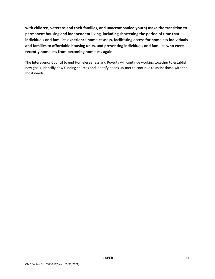**with children, veterans and their families, and unaccompanied youth) make the transition to permanent housing and independent living, including shortening the period of time that individuals and families experience homelessness, facilitating access for homeless individuals and families to affordable housing units, and preventing individuals and families who were recently homeless from becoming homeless again**

The Interagency Council to end Homeleseeness and Poverty will continue working together to establish new goals, identifiy new funding sources and identify needs un-met to continue to assist those with the most needs.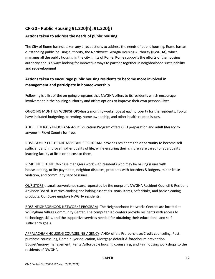# **CR-30 - Public Housing 91.220(h); 91.320(j)**

#### **Actions taken to address the needs of public housing**

The City of Rome has not taken any direct actions to address the needs of public housing. Rome has an outstanding public housing authority, the Northwest Georgia Housing Authority (NWGHA), which manages all the public housing in the city limits of Rome. Rome supports the efforts of the housing authority and is always looking for innovative ways to partner together in neighborhood sustainability and redevelopment

# **Actions taken to encourage public housing residents to become more involved in management and participate in homeownership**

Following is a list of the on-going programs that NWGHA offers to its residents which encourage involvement in the housing authority and offers options to improve their own personal lives.

ONGOING MONTHLY WORKSHOPS**-**hosts monthly workshops at each property for the residents. Topics have included budgeting, parenting, home ownership, and other health related issues.

ADULT LITERACY PROGRAM**-** Adult Education Program offers GED preparation and adult literacy to anyone in Floyd County for free.

ROSS FAMILY CHILDCARE ASSISTANCE PROGRAM**-**provides residents the opportunity to become selfsufficient and improve his/her quality of life, while ensuring their children are cared for at a quality learning facility at little or no cost to them.

RESIDENT RETENTION**-** case managers work with residents who may be having issues with housekeeping, utility payments, neighbor disputes, problems with boarders & lodgers, minor lease violation, and community service issues.

OUR STORE**-**a small convenience store, operated by the nonprofit NWGHA Resident Council & Resident Advisory Board. It carries cooking and baking essentials, snack items, soft drinks, and basic cleaning products. Our Store employs NWGHA residents.

ROSS NEIGHBORHOOD NETWORKS PROGRAM**-** The Neighborhood Networks Centers are located at Willingham Village Community Center. The computer lab centers provide residents with access to technology, skills, and the supportive services needed for obtaining their educational and selfsufficiency goals.

APPALACHIAN HOUSING COUNSELING AGENCY**-** AHCA offers Pre-purchase/Credit counseling, Postpurchase counseling, Home buyer education, Mortgage default & foreclosure prevention, Budget/money management, Rental/affordable housing counseling, and Fair housing workshops to the residents of NWGHA.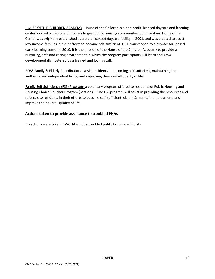HOUSE OF THE CHILDREN ACADEMY**-** House of the Children is a non-profit licensed daycare and learning center located within one of Rome's largest public housing communities, John Graham Homes. The Center was originally established as a state licensed daycare facility in 2001, and was created to assist low-income families in their efforts to become self-sufficient. HCA transitioned to a Montessori-based early learning center in 2010. It is the mission of the House of the Children Academy to provide a nurturing, safe and caring environment in which the program participants will learn and grow developmentally, fostered by a trained and loving staff.

ROSS Family & Elderly Coordinators**-** assist residents in becoming self-sufficient, maintaining their wellbeing and independent living, and improving their overall quality of life.

Family Self-Sufficiency (FSS) Program**-** a voluntary program offered to residents of Public Housing and Housing Choice Voucher Program (Section 8). The FSS program will assist in providing the resources and referrals to residents in their efforts to become self-sufficient, obtain & maintain employment, and improve their overall quality of life.

#### **Actions taken to provide assistance to troubled PHAs**

No actions were taken. NWGHA is not a troubled public housing authority.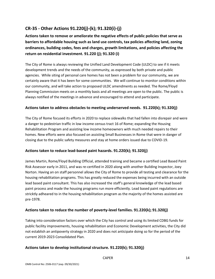# **CR-35 - Other Actions 91.220(j)-(k); 91.320(i)-(j)**

**Actions taken to remove or ameliorate the negative effects of public policies that serve as barriers to affordable housing such as land use controls, tax policies affecting land, zoning ordinances, building codes, fees and charges, growth limitations, and policies affecting the return on residential investment. 91.220 (j); 91.320 (i)**

The City of Rome is always reviewing the Unified Land Development Code (ULDC) to see if it meets development trends and the needs of the community, as expressed by both private and public agencies. While siting of personal care homes has not been a problem for our community, we are certainly aware that it has been for some communities. We will continue to monitor conditions within our community, and will take action to proposed ULDC amendments as needed. The Rome/Floyd Planning Commission meets on a monthly basis and all meetings are open to the public. The public is always notified of the meetings in advance and encouraged to attend and participate.

#### **Actions taken to address obstacles to meeting underserved needs. 91.220(k); 91.320(j)**

The City of Rome focused its efforts in 2020 to replace sidewalks that had fallen into disrepair and were a danger to pedestrian traffic in low income census tract 16 of Rome; expanding the Housing Rehabilitation Program and assisting low income homeowners with much needed repairs to their homes. New efforts were also focused on assisting Small Businesses in Rome that were in danger of closing due to the public safety measures and stay at home orders issued due to COVID-19.

#### **Actions taken to reduce lead-based paint hazards. 91.220(k); 91.320(j)**

James Martin, Rome/Floyd Building Official, attended training and became a certified Lead Based Paint Risk Assessor early in 2011, and was re-certified in 2020 along with another Building Inspector, Joey Norton. Having an on staff personnel allows the City of Rome to provide all testing and clearance for the housing rehabilitation programs. This has greatly reduced the expenses being incurred with an outside lead based paint consultant. This has also increased the staff's general knowledge of the lead based paint process and made the housing programs run more efficiently. Lead based paint regulations are stricktly adheared to in the housing rehabilitation program as the majority of the homes assisted are pre-1978.

#### **Actions taken to reduce the number of poverty-level families. 91.220(k); 91.320(j)**

Taking into consideration factors over which the City has control and using its limited CDBG funds for public facility improvements, housing rehabilitation and Economic Development activities, the City did not establish an antipoverty strategy in 2020 and does not anticipate doing so for the period of the current 2019-2023 Consolidated Plan.

#### **Actions taken to develop institutional structure. 91.220(k); 91.320(j)**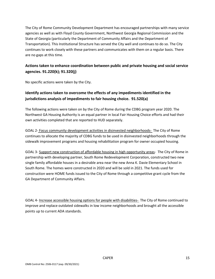The City of Rome Community Development Department has encouraged partnerships with many service agencies as well as with Floyd County Government, Northwest Georgia Regional Commission and the State of Georgia (particularly the Department of Community Affairs and the Department of Transportation). This Institutional Structure has served the City well and continues to do so. The City continues to work closely with these partners and communicates with them on a regular basis. There are no gaps at this time.

# **Actions taken to enhance coordination between public and private housing and social service agencies. 91.220(k); 91.320(j)**

No specific actions were taken by the City.

# **Identify actions taken to overcome the effects of any impediments identified in the jurisdictions analysis of impediments to fair housing choice. 91.520(a)**

The following actions were taken on by the City of Rome during the CDBG program year 2020. The Northwest GA Housing Authority is an equal partner in local Fair Housing Choice efforts and had their own activities completed that are reported to HUD separately.

GOAL 2- Focus community development activities in disinvested neighborhoods- The City of Rome continues to allocate the majority of CDBG funds to be used in disinvested neighborhoods through the sidewalk improvement programs and housing rehabilitation program for owner occupied housing.

GOAL 3- Support new construction of affordable housing in high opportunity areas- The City of Rome in partnership with developing partner, South Rome Redevelopment Corporation, constructed two new single family affordable houses in a desirable area near the new Anna K. Davie Elementary School in South Rome. The homes were constructed in 2020 and will be sold in 2021. The funds used for construction were HOME funds issued to the City of Rome through a competitive grant cycle from the GA Department of Community Affairs.

GOAL 4- Increase accessible housing options for people with disabilities- The City of Rome continued to improve and replace outdated sidewalks in low income neighborhoods and brought all the accessible points up to current ADA standards.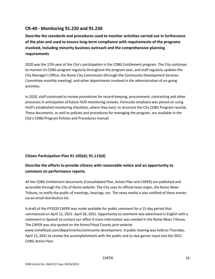# **CR-40 - Monitoring 91.220 and 91.230**

**Describe the standards and procedures used to monitor activities carried out in furtherance of the plan and used to ensure long-term compliance with requirements of the programs involved, including minority business outreach and the comprehensive planning requirements**

2020 was the 17th year of the City's participation in the CDBG Entitlement program. The City continues to monitor its CDBG program regularly throughout the program year, and staff regularly updates the City Manager's Office, the Rome City Commission (through the Community Development Services Committee monthly meeting), and other departments involved in the administration of on-going activities.

In 2020, staff continued to review procedures for record-keeping, procurement, contracting and other processes in anticipation of future HUD monitoring reviews. Particular emphasis was placed on using HUD's established monitoring checklists, where they exist, to structure the City CDBG Program records. These documents, as well as policies and procedures for managing the program, are available in the City's CDBG Program Policies and Procedures manual.

#### **Citizen Participation Plan 91.105(d); 91.115(d)**

# **Describe the efforts to provide citizens with reasonable notice and an opportunity to comment on performance reports**.

All the CDBG Entitlement documents (Consolidated Plan, Action Plan and CAPER) are published and accessible through the City of Rome website. The City uses its official news organ, the Rome News Tribune, to notify the public of meetings, hearings, etc. The news media is also notified of these events via an email distribution list.

A draft of the PY2020 CAPER was made available for public comment for a 15-day period that commenced on April 12, 2021- April 26, 2021. Opportunity to comment was advertised in English with a statement in Spanish to contact our office if more information was needed in the Rome News Tribune. The CAPER was also posted on the Rome/Floyd County joint website www.romefloyd.com/departments/community-development. A public hearing was held on Thursday, April 15, 2021 to review the accomplishments with the public and to also garner input into the 2021 CDBG Action Plan.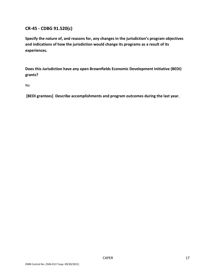# **CR-45 - CDBG 91.520(c)**

**Specify the nature of, and reasons for, any changes in the jurisdiction's program objectives and indications of how the jurisdiction would change its programs as a result of its experiences.**

**Does this Jurisdiction have any open Brownfields Economic Development Initiative (BEDI) grants?**

No

**[BEDI grantees] Describe accomplishments and program outcomes during the last year.**